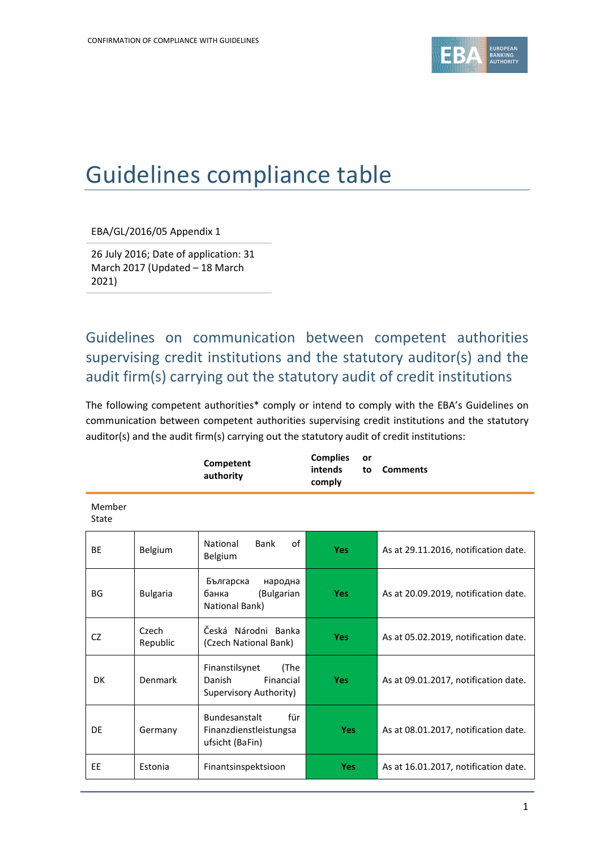

## Guidelines compliance table

EBA/GL/2016/05 Appendix 1

26 July 2016; Date of application: 31 March 2017 (Updated – 18 March 2021)

Guidelines on communication between competent authorities supervising credit institutions and the statutory auditor(s) and the audit firm(s) carrying out the statutory audit of credit institutions

The following competent authorities\* comply or intend to comply with the EBA's Guidelines on communication between competent authorities supervising credit institutions and the statutory auditor(s) and the audit firm(s) carrying out the statutory audit of credit institutions:

|                 |                   | Competent<br>authority                                                  | <b>Complies</b><br>or<br>intends<br>to<br>comply | <b>Comments</b>                      |
|-----------------|-------------------|-------------------------------------------------------------------------|--------------------------------------------------|--------------------------------------|
| Member<br>State |                   |                                                                         |                                                  |                                      |
| <b>BE</b>       | Belgium           | οf<br>National<br>Bank<br>Belgium                                       | <b>Yes</b>                                       | As at 29.11.2016, notification date. |
| BG              | <b>Bulgaria</b>   | Българска<br>народна<br>банка<br>(Bulgarian<br>National Bank)           | <b>Yes</b>                                       | As at 20.09.2019, notification date. |
| CZ              | Czech<br>Republic | Česká Národni Banka<br>(Czech National Bank)                            | <b>Yes</b>                                       | As at 05.02.2019, notification date. |
| DK              | Denmark           | Finanstilsynet<br>(The<br>Danish<br>Financial<br>Supervisory Authority) | <b>Yes</b>                                       | As at 09.01.2017, notification date. |
| DE              | Germany           | Bundesanstalt<br>für<br>Finanzdienstleistungsa<br>ufsicht (BaFin)       | <b>Yes</b>                                       | As at 08.01.2017, notification date. |
| EE              | Estonia           | Finantsinspektsioon                                                     | <b>Yes</b>                                       | As at 16.01.2017, notification date. |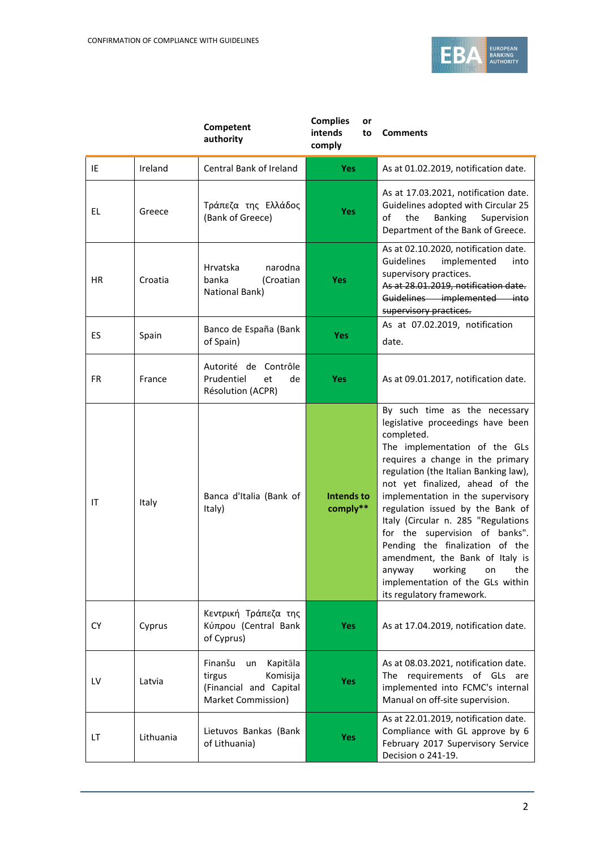

|           |           | Competent<br>authority                                                                          | <b>Complies</b><br>or<br>intends<br>to<br>comply | <b>Comments</b>                                                                                                                                                                                                                                                                                                                                                                                                                                                                                                                                     |
|-----------|-----------|-------------------------------------------------------------------------------------------------|--------------------------------------------------|-----------------------------------------------------------------------------------------------------------------------------------------------------------------------------------------------------------------------------------------------------------------------------------------------------------------------------------------------------------------------------------------------------------------------------------------------------------------------------------------------------------------------------------------------------|
| IE        | Ireland   | Central Bank of Ireland                                                                         | <b>Yes</b>                                       | As at 01.02.2019, notification date.                                                                                                                                                                                                                                                                                                                                                                                                                                                                                                                |
| EL        | Greece    | Τράπεζα της Ελλάδος<br>(Bank of Greece)                                                         | <b>Yes</b>                                       | As at 17.03.2021, notification date.<br>Guidelines adopted with Circular 25<br>of<br>the<br><b>Banking</b><br>Supervision<br>Department of the Bank of Greece.                                                                                                                                                                                                                                                                                                                                                                                      |
| ΗR        | Croatia   | Hrvatska<br>narodna<br>banka<br>(Croatian<br>National Bank)                                     | <b>Yes</b>                                       | As at 02.10.2020, notification date.<br>Guidelines<br>implemented<br>into<br>supervisory practices.<br>As at 28.01.2019, notification date.<br>Guidelines implemented into<br>supervisory practices.                                                                                                                                                                                                                                                                                                                                                |
| ES        | Spain     | Banco de España (Bank<br>of Spain)                                                              | <b>Yes</b>                                       | As at 07.02.2019, notification<br>date.                                                                                                                                                                                                                                                                                                                                                                                                                                                                                                             |
| <b>FR</b> | France    | Autorité de Contrôle<br>Prudentiel<br>et<br>de<br>Résolution (ACPR)                             | <b>Yes</b>                                       | As at 09.01.2017, notification date.                                                                                                                                                                                                                                                                                                                                                                                                                                                                                                                |
| IT        | Italy     | Banca d'Italia (Bank of<br>Italy)                                                               | <b>Intends to</b><br>comply**                    | By such time as the necessary<br>legislative proceedings have been<br>completed.<br>The implementation of the GLs<br>requires a change in the primary<br>regulation (the Italian Banking law),<br>not yet finalized, ahead of the<br>implementation in the supervisory<br>regulation issued by the Bank of<br>Italy (Circular n. 285 "Regulations<br>for the supervision of banks".<br>Pending the finalization of the<br>amendment, the Bank of Italy is<br>anyway working on the<br>implementation of the GLs within<br>its regulatory framework. |
| CY        | Cyprus    | Κεντρική Τράπεζα της<br>Κύπρου (Central Bank<br>of Cyprus)                                      | <b>Yes</b>                                       | As at 17.04.2019, notification date.                                                                                                                                                                                                                                                                                                                                                                                                                                                                                                                |
| LV        | Latvia    | Finanšu<br>Kapitāla<br>un<br>Komisija<br>tirgus<br>(Financial and Capital<br>Market Commission) | Yes                                              | As at 08.03.2021, notification date.<br>The requirements of GLs are<br>implemented into FCMC's internal<br>Manual on off-site supervision.                                                                                                                                                                                                                                                                                                                                                                                                          |
| LT        | Lithuania | Lietuvos Bankas (Bank<br>of Lithuania)                                                          | <b>Yes</b>                                       | As at 22.01.2019, notification date.<br>Compliance with GL approve by 6<br>February 2017 Supervisory Service<br>Decision o 241-19.                                                                                                                                                                                                                                                                                                                                                                                                                  |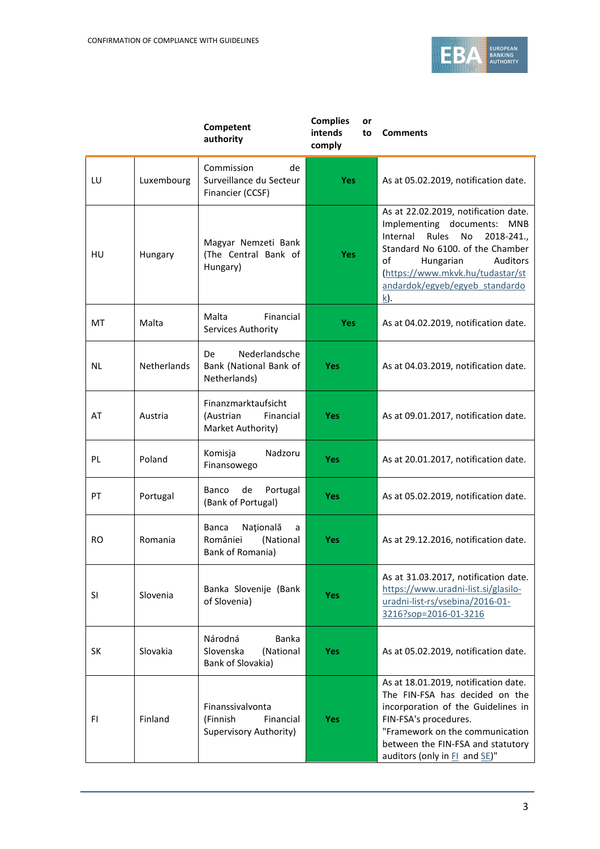

|           |             | Competent<br>authority                                               | <b>Complies</b><br>or<br>intends<br>to<br>comply | <b>Comments</b>                                                                                                                                                                                                                                                                |
|-----------|-------------|----------------------------------------------------------------------|--------------------------------------------------|--------------------------------------------------------------------------------------------------------------------------------------------------------------------------------------------------------------------------------------------------------------------------------|
| LU        | Luxembourg  | Commission<br>de<br>Surveillance du Secteur<br>Financier (CCSF)      | <b>Yes</b>                                       | As at 05.02.2019, notification date.                                                                                                                                                                                                                                           |
| HU        | Hungary     | Magyar Nemzeti Bank<br>(The Central Bank of<br>Hungary)              | Yes                                              | As at 22.02.2019, notification date.<br>Implementing documents:<br>MNB<br>Rules<br>No<br>Internal<br>2018-241.,<br>Standard No 6100. of the Chamber<br>of<br>Hungarian<br><b>Auditors</b><br>(https://www.mkvk.hu/tudastar/st<br>andardok/egyeb/egyeb standardo<br><u>k</u> ). |
| MT        | Malta       | Malta<br>Financial<br>Services Authority                             | <b>Yes</b>                                       | As at 04.02.2019, notification date.                                                                                                                                                                                                                                           |
| NL        | Netherlands | Nederlandsche<br>De<br>Bank (National Bank of<br>Netherlands)        | <b>Yes</b>                                       | As at 04.03.2019, notification date.                                                                                                                                                                                                                                           |
| AT        | Austria     | Finanzmarktaufsicht<br>(Austrian<br>Financial<br>Market Authority)   | <b>Yes</b>                                       | As at 09.01.2017, notification date.                                                                                                                                                                                                                                           |
| PL        | Poland      | Komisja<br>Nadzoru<br>Finansowego                                    | <b>Yes</b>                                       | As at 20.01.2017, notification date.                                                                                                                                                                                                                                           |
| PT        | Portugal    | Portugal<br>Banco<br>de<br>(Bank of Portugal)                        | <b>Yes</b>                                       | As at 05.02.2019, notification date.                                                                                                                                                                                                                                           |
| <b>RO</b> | Romania     | Națională<br>Banca<br>a<br>României<br>(National<br>Bank of Romania) | <b>Yes</b>                                       | As at 29.12.2016, notification date.                                                                                                                                                                                                                                           |
| SI        | Slovenia    | Banka Slovenije (Bank<br>of Slovenia)                                | <b>Yes</b>                                       | As at 31.03.2017, notification date.<br>https://www.uradni-list.si/glasilo-<br>uradni-list-rs/vsebina/2016-01-<br>3216?sop=2016-01-3216                                                                                                                                        |
| <b>SK</b> | Slovakia    | Národná<br>Banka<br>Slovenska<br>(National<br>Bank of Slovakia)      | <b>Yes</b>                                       | As at 05.02.2019, notification date.                                                                                                                                                                                                                                           |
| FI.       | Finland     | Finanssivalvonta<br>Financial<br>(Finnish<br>Supervisory Authority)  | Yes                                              | As at 18.01.2019, notification date.<br>The FIN-FSA has decided on the<br>incorporation of the Guidelines in<br>FIN-FSA's procedures.<br>"Framework on the communication<br>between the FIN-FSA and statutory<br>auditors (only in FI and SE)"                                 |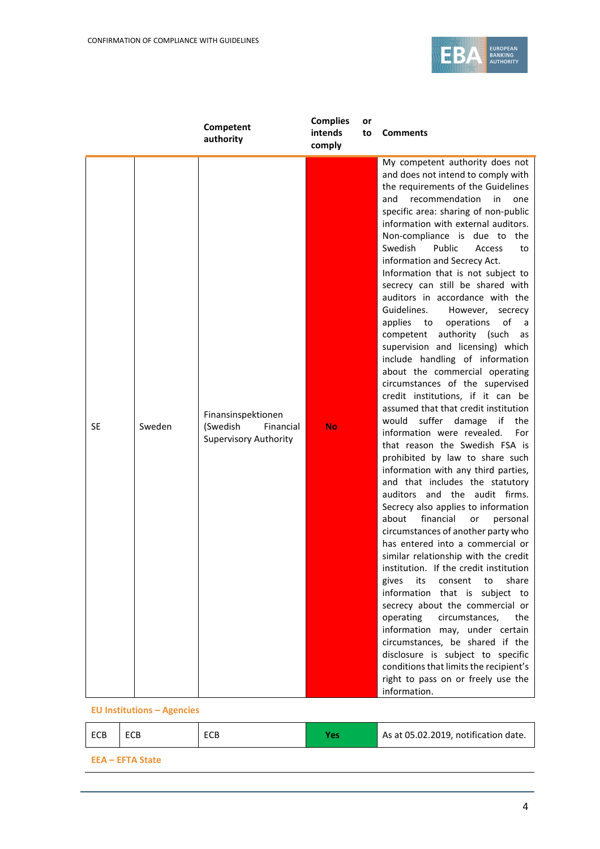

|           |        | Competent<br>authority                                                      | <b>Complies</b><br>intends<br>comply | or<br>to | <b>Comments</b>                                                                                                                                                                                                                                                                                                                                                                                                                                                                                                                                                                                                                                                                                                                                                                                                                                                                                                                                                                                                                                                                                                                                                                                                                                                                                                                                                                                                                                                                                                                                                                                                                                                   |
|-----------|--------|-----------------------------------------------------------------------------|--------------------------------------|----------|-------------------------------------------------------------------------------------------------------------------------------------------------------------------------------------------------------------------------------------------------------------------------------------------------------------------------------------------------------------------------------------------------------------------------------------------------------------------------------------------------------------------------------------------------------------------------------------------------------------------------------------------------------------------------------------------------------------------------------------------------------------------------------------------------------------------------------------------------------------------------------------------------------------------------------------------------------------------------------------------------------------------------------------------------------------------------------------------------------------------------------------------------------------------------------------------------------------------------------------------------------------------------------------------------------------------------------------------------------------------------------------------------------------------------------------------------------------------------------------------------------------------------------------------------------------------------------------------------------------------------------------------------------------------|
| <b>SE</b> | Sweden | Finansinspektionen<br>(Swedish<br>Financial<br><b>Supervisory Authority</b> | <b>No</b>                            |          | My competent authority does not<br>and does not intend to comply with<br>the requirements of the Guidelines<br>recommendation<br>and<br>in<br>one<br>specific area: sharing of non-public<br>information with external auditors.<br>Non-compliance is due to the<br>Swedish<br>Public<br>Access<br>to<br>information and Secrecy Act.<br>Information that is not subject to<br>secrecy can still be shared with<br>auditors in accordance with the<br>Guidelines.<br>However,<br>secrecy<br>of<br>applies to<br>operations<br>a<br>competent authority (such<br>as<br>supervision and licensing) which<br>include handling of information<br>about the commercial operating<br>circumstances of the supervised<br>credit institutions, if it can be<br>assumed that that credit institution<br>would<br>suffer<br>damage if<br>the<br>information were revealed.<br>For<br>that reason the Swedish FSA is<br>prohibited by law to share such<br>information with any third parties,<br>and that includes the statutory<br>auditors and the audit firms.<br>Secrecy also applies to information<br>financial<br>about<br>personal<br>or<br>circumstances of another party who<br>has entered into a commercial or<br>similar relationship with the credit<br>institution. If the credit institution<br>its<br>share<br>gives<br>consent<br>to<br>information that is subject to<br>secrecy about the commercial or<br>operating<br>circumstances,<br>the<br>information may, under certain<br>circumstances, be shared if the<br>disclosure is subject to specific<br>conditions that limits the recipient's<br>right to pass on or freely use the<br>information. |

**EU Institutions – Agencies**

| ECB | ECB                     | ECB | Yes. | As at 05.02.2019, notification date. |
|-----|-------------------------|-----|------|--------------------------------------|
|     | <b>EEA – EFTA State</b> |     |      |                                      |